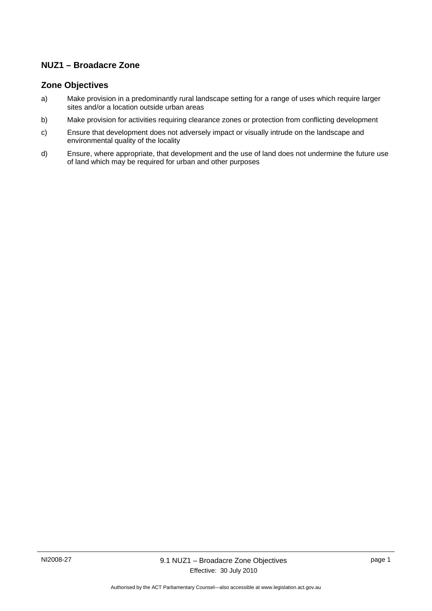## **NUZ1 – Broadacre Zone**

### **Zone Objectives**

- a) Make provision in a predominantly rural landscape setting for a range of uses which require larger sites and/or a location outside urban areas
- b) Make provision for activities requiring clearance zones or protection from conflicting development
- c) Ensure that development does not adversely impact or visually intrude on the landscape and environmental quality of the locality
- d) Ensure, where appropriate, that development and the use of land does not undermine the future use of land which may be required for urban and other purposes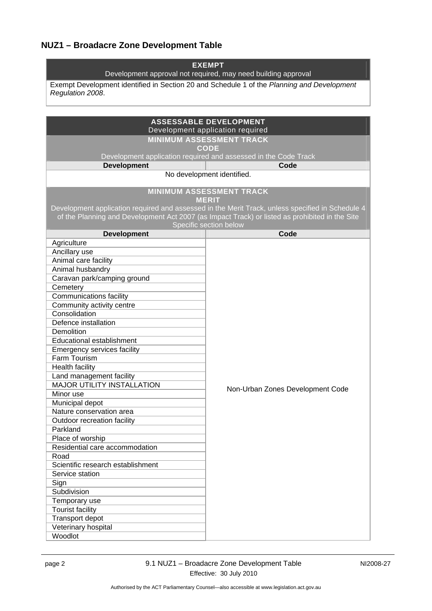# **NUZ1 – Broadacre Zone Development Table**

| <b>EXEMPT</b><br>Development approval not required, may need building approval                                 |                                                                                                                          |  |
|----------------------------------------------------------------------------------------------------------------|--------------------------------------------------------------------------------------------------------------------------|--|
| Exempt Development identified in Section 20 and Schedule 1 of the Planning and Development<br>Regulation 2008. |                                                                                                                          |  |
|                                                                                                                |                                                                                                                          |  |
|                                                                                                                |                                                                                                                          |  |
|                                                                                                                | <b>ASSESSABLE DEVELOPMENT</b><br>Development application required                                                        |  |
|                                                                                                                | <b>MINIMUM ASSESSMENT TRACK</b>                                                                                          |  |
|                                                                                                                | <b>CODE</b>                                                                                                              |  |
|                                                                                                                | Development application required and assessed in the Code Track                                                          |  |
| <b>Development</b>                                                                                             | Code<br>No development identified.                                                                                       |  |
|                                                                                                                |                                                                                                                          |  |
| <b>MINIMUM ASSESSMENT TRACK</b><br><b>MERIT</b>                                                                |                                                                                                                          |  |
|                                                                                                                | Development application required and assessed in the Merit Track, unless specified in Schedule 4                         |  |
|                                                                                                                | of the Planning and Development Act 2007 (as Impact Track) or listed as prohibited in the Site<br>Specific section below |  |
| <b>Development</b>                                                                                             | Code                                                                                                                     |  |
| Agriculture                                                                                                    |                                                                                                                          |  |
| Ancillary use                                                                                                  |                                                                                                                          |  |
| Animal care facility                                                                                           |                                                                                                                          |  |
| Animal husbandry                                                                                               |                                                                                                                          |  |
| Caravan park/camping ground                                                                                    |                                                                                                                          |  |
| Cemetery                                                                                                       |                                                                                                                          |  |
| <b>Communications facility</b>                                                                                 |                                                                                                                          |  |
| Community activity centre                                                                                      |                                                                                                                          |  |
| Consolidation                                                                                                  |                                                                                                                          |  |
| Defence installation                                                                                           |                                                                                                                          |  |
| Demolition<br>Educational establishment                                                                        |                                                                                                                          |  |
| Emergency services facility                                                                                    |                                                                                                                          |  |
| Farm Tourism                                                                                                   |                                                                                                                          |  |
| Health facility                                                                                                |                                                                                                                          |  |
| Land management facility                                                                                       |                                                                                                                          |  |
| <b>MAJOR UTILITY INSTALLATION</b>                                                                              |                                                                                                                          |  |
| Minor use                                                                                                      | Non-Urban Zones Development Code                                                                                         |  |
| Municipal depot                                                                                                |                                                                                                                          |  |
| Nature conservation area                                                                                       |                                                                                                                          |  |
| Outdoor recreation facility                                                                                    |                                                                                                                          |  |
| Parkland                                                                                                       |                                                                                                                          |  |
| Place of worship                                                                                               |                                                                                                                          |  |
| Residential care accommodation                                                                                 |                                                                                                                          |  |
| Road                                                                                                           |                                                                                                                          |  |
| Scientific research establishment                                                                              |                                                                                                                          |  |
| Service station                                                                                                |                                                                                                                          |  |
| Sign                                                                                                           |                                                                                                                          |  |
| Subdivision                                                                                                    |                                                                                                                          |  |
| Temporary use                                                                                                  |                                                                                                                          |  |
| <b>Tourist facility</b>                                                                                        |                                                                                                                          |  |
| Transport depot                                                                                                |                                                                                                                          |  |
| Veterinary hospital                                                                                            |                                                                                                                          |  |
| Woodlot                                                                                                        |                                                                                                                          |  |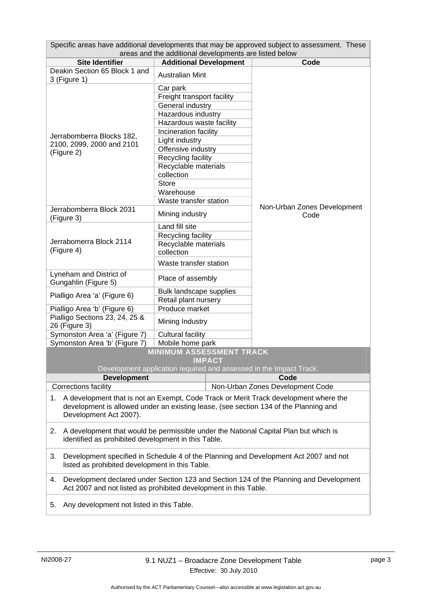| Specific areas have additional developments that may be approved subject to assessment. These                                                                                                                |                                                                    |                                  |  |  |
|--------------------------------------------------------------------------------------------------------------------------------------------------------------------------------------------------------------|--------------------------------------------------------------------|----------------------------------|--|--|
| areas and the additional developments are listed below<br><b>Site Identifier</b><br><b>Additional Development</b><br>Code                                                                                    |                                                                    |                                  |  |  |
| Deakin Section 65 Block 1 and                                                                                                                                                                                |                                                                    |                                  |  |  |
| 3 (Figure 1)                                                                                                                                                                                                 | <b>Australian Mint</b>                                             |                                  |  |  |
|                                                                                                                                                                                                              | Car park                                                           |                                  |  |  |
|                                                                                                                                                                                                              | Freight transport facility                                         |                                  |  |  |
|                                                                                                                                                                                                              | General industry                                                   |                                  |  |  |
|                                                                                                                                                                                                              | Hazardous industry                                                 |                                  |  |  |
|                                                                                                                                                                                                              | Hazardous waste facility                                           |                                  |  |  |
| Jerrabomberra Blocks 182,                                                                                                                                                                                    | Incineration facility                                              |                                  |  |  |
| 2100, 2099, 2000 and 2101                                                                                                                                                                                    | Light industry                                                     |                                  |  |  |
| (Figure 2)                                                                                                                                                                                                   | Offensive industry                                                 |                                  |  |  |
|                                                                                                                                                                                                              | Recycling facility                                                 |                                  |  |  |
|                                                                                                                                                                                                              | Recyclable materials                                               |                                  |  |  |
|                                                                                                                                                                                                              | collection                                                         |                                  |  |  |
|                                                                                                                                                                                                              | <b>Store</b>                                                       |                                  |  |  |
|                                                                                                                                                                                                              | Warehouse                                                          |                                  |  |  |
|                                                                                                                                                                                                              | Waste transfer station                                             | Non-Urban Zones Development      |  |  |
| Jerrabomberra Block 2031<br>(Figure 3)                                                                                                                                                                       | Mining industry                                                    | Code                             |  |  |
| Land fill site                                                                                                                                                                                               |                                                                    |                                  |  |  |
| Jerrabomerra Block 2114                                                                                                                                                                                      | Recycling facility                                                 |                                  |  |  |
| (Figure 4)                                                                                                                                                                                                   | Recyclable materials                                               |                                  |  |  |
|                                                                                                                                                                                                              | collection                                                         |                                  |  |  |
|                                                                                                                                                                                                              | Waste transfer station                                             |                                  |  |  |
| Lyneham and District of<br>Gungahlin (Figure 5)                                                                                                                                                              | Place of assembly                                                  |                                  |  |  |
|                                                                                                                                                                                                              | Bulk landscape supplies                                            |                                  |  |  |
| Pialligo Area 'a' (Figure 6)                                                                                                                                                                                 | Retail plant nursery                                               |                                  |  |  |
| Pialligo Area 'b' (Figure 6)                                                                                                                                                                                 | Produce market                                                     |                                  |  |  |
| Pialligo Sections 23, 24, 25 &                                                                                                                                                                               |                                                                    |                                  |  |  |
| 26 (Figure 3)                                                                                                                                                                                                | Mining Industry                                                    |                                  |  |  |
| Symonston Area 'a' (Figure 7)                                                                                                                                                                                | <b>Cultural facility</b>                                           |                                  |  |  |
| Symonston Area 'b' (Figure 7)                                                                                                                                                                                | Mobile home park                                                   |                                  |  |  |
| <b>MINIMUM ASSESSMENT TRACK</b><br><b>IMPACT</b>                                                                                                                                                             |                                                                    |                                  |  |  |
|                                                                                                                                                                                                              | Development application required and assessed in the Impact Track. |                                  |  |  |
| <b>Development</b>                                                                                                                                                                                           |                                                                    | Code                             |  |  |
| Corrections facility                                                                                                                                                                                         |                                                                    | Non-Urban Zones Development Code |  |  |
| A development that is not an Exempt, Code Track or Merit Track development where the<br>1.<br>development is allowed under an existing lease, (see section 134 of the Planning and<br>Development Act 2007). |                                                                    |                                  |  |  |
| A development that would be permissible under the National Capital Plan but which is<br>2.<br>identified as prohibited development in this Table.                                                            |                                                                    |                                  |  |  |
| Development specified in Schedule 4 of the Planning and Development Act 2007 and not<br>3.<br>listed as prohibited development in this Table.                                                                |                                                                    |                                  |  |  |
| Development declared under Section 123 and Section 124 of the Planning and Development<br>4.<br>Act 2007 and not listed as prohibited development in this Table.                                             |                                                                    |                                  |  |  |
| Any development not listed in this Table.<br>5.                                                                                                                                                              |                                                                    |                                  |  |  |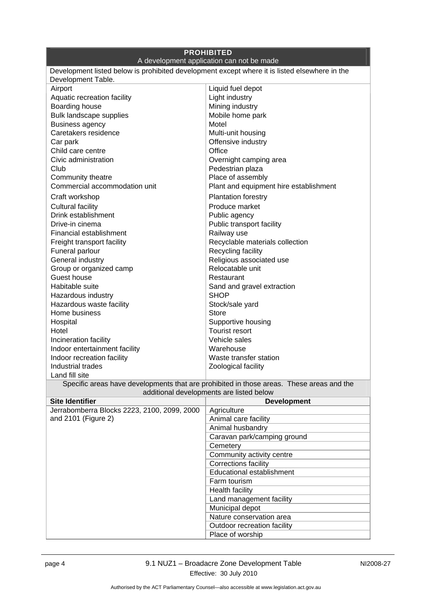| <b>PROHIBITED</b>                                                                                                                    |                                           |  |
|--------------------------------------------------------------------------------------------------------------------------------------|-------------------------------------------|--|
|                                                                                                                                      | A development application can not be made |  |
| Development listed below is prohibited development except where it is listed elsewhere in the<br>Development Table.                  |                                           |  |
| Airport                                                                                                                              | Liquid fuel depot                         |  |
| Aquatic recreation facility                                                                                                          | Light industry                            |  |
| Boarding house                                                                                                                       | Mining industry                           |  |
| Bulk landscape supplies                                                                                                              | Mobile home park                          |  |
| <b>Business agency</b>                                                                                                               | Motel                                     |  |
| Caretakers residence                                                                                                                 | Multi-unit housing                        |  |
| Car park                                                                                                                             | Offensive industry                        |  |
| Child care centre                                                                                                                    | Office                                    |  |
| Civic administration                                                                                                                 | Overnight camping area                    |  |
| Club                                                                                                                                 | Pedestrian plaza                          |  |
| Community theatre                                                                                                                    | Place of assembly                         |  |
| Commercial accommodation unit                                                                                                        | Plant and equipment hire establishment    |  |
| Craft workshop                                                                                                                       | <b>Plantation forestry</b>                |  |
| <b>Cultural facility</b>                                                                                                             | Produce market                            |  |
| Drink establishment                                                                                                                  | Public agency                             |  |
| Drive-in cinema                                                                                                                      | Public transport facility                 |  |
| Financial establishment                                                                                                              | Railway use                               |  |
| Freight transport facility                                                                                                           | Recyclable materials collection           |  |
| Funeral parlour                                                                                                                      | Recycling facility                        |  |
| General industry                                                                                                                     | Religious associated use                  |  |
| Group or organized camp                                                                                                              | Relocatable unit                          |  |
| Guest house                                                                                                                          | Restaurant                                |  |
| Habitable suite                                                                                                                      | Sand and gravel extraction                |  |
| Hazardous industry                                                                                                                   | <b>SHOP</b>                               |  |
| Hazardous waste facility                                                                                                             | Stock/sale yard                           |  |
| Home business                                                                                                                        | Store                                     |  |
| Hospital                                                                                                                             | Supportive housing                        |  |
| Hotel                                                                                                                                | <b>Tourist resort</b>                     |  |
| Incineration facility                                                                                                                | Vehicle sales                             |  |
| Indoor entertainment facility                                                                                                        | Warehouse                                 |  |
| Indoor recreation facility                                                                                                           | Waste transfer station                    |  |
| Industrial trades                                                                                                                    | Zoological facility                       |  |
| Land fill site                                                                                                                       |                                           |  |
| Specific areas have developments that are prohibited in those areas. These areas and the<br>additional developments are listed below |                                           |  |
| <b>Site Identifier</b>                                                                                                               | <b>Development</b>                        |  |
| Jerrabomberra Blocks 2223, 2100, 2099, 2000                                                                                          | Agriculture                               |  |
| and 2101 (Figure 2)                                                                                                                  | Animal care facility                      |  |
|                                                                                                                                      | Animal husbandry                          |  |
|                                                                                                                                      | Caravan park/camping ground               |  |
|                                                                                                                                      | Cemetery                                  |  |
|                                                                                                                                      | Community activity centre                 |  |
|                                                                                                                                      | Corrections facility                      |  |
|                                                                                                                                      | Educational establishment                 |  |
|                                                                                                                                      | Farm tourism                              |  |
|                                                                                                                                      | <b>Health facility</b>                    |  |
|                                                                                                                                      | Land management facility                  |  |
|                                                                                                                                      | Municipal depot                           |  |
|                                                                                                                                      | Nature conservation area                  |  |
|                                                                                                                                      | Outdoor recreation facility               |  |
|                                                                                                                                      | Place of worship                          |  |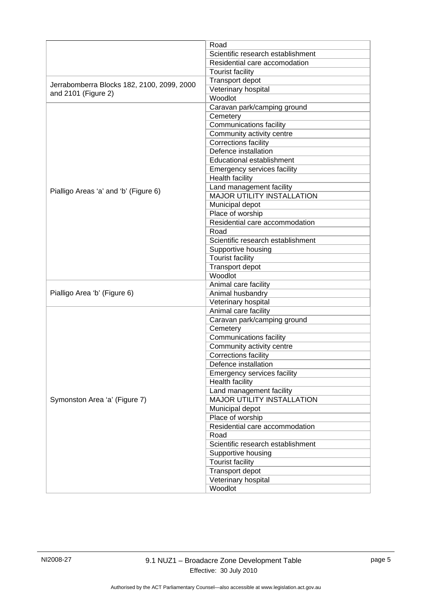|                                            | Road                               |
|--------------------------------------------|------------------------------------|
|                                            | Scientific research establishment  |
|                                            |                                    |
|                                            | Residential care accomodation      |
|                                            | <b>Tourist facility</b>            |
| Jerrabomberra Blocks 182, 2100, 2099, 2000 | Transport depot                    |
| and 2101 (Figure 2)                        | Veterinary hospital                |
|                                            | Woodlot                            |
|                                            | Caravan park/camping ground        |
|                                            | Cemetery                           |
|                                            | <b>Communications facility</b>     |
|                                            | Community activity centre          |
|                                            | Corrections facility               |
|                                            | Defence installation               |
|                                            | Educational establishment          |
|                                            | <b>Emergency services facility</b> |
|                                            | <b>Health facility</b>             |
| Pialligo Areas 'a' and 'b' (Figure 6)      | Land management facility           |
|                                            | MAJOR UTILITY INSTALLATION         |
|                                            | Municipal depot                    |
|                                            | Place of worship                   |
|                                            | Residential care accommodation     |
|                                            | Road                               |
|                                            | Scientific research establishment  |
|                                            | Supportive housing                 |
|                                            | <b>Tourist facility</b>            |
|                                            | Transport depot                    |
|                                            | Woodlot                            |
|                                            | Animal care facility               |
| Pialligo Area 'b' (Figure 6)               | Animal husbandry                   |
|                                            | Veterinary hospital                |
|                                            | Animal care facility               |
|                                            | Caravan park/camping ground        |
|                                            | Cemetery                           |
|                                            | Communications facility            |
|                                            | Community activity centre          |
|                                            | Corrections facility               |
|                                            | Defence installation               |
|                                            | <b>Emergency services facility</b> |
|                                            | Health facility                    |
|                                            | Land management facility           |
| Symonston Area 'a' (Figure 7)              | <b>MAJOR UTILITY INSTALLATION</b>  |
|                                            | Municipal depot                    |
|                                            | Place of worship                   |
|                                            | Residential care accommodation     |
|                                            | Road                               |
|                                            | Scientific research establishment  |
|                                            | Supportive housing                 |
|                                            | <b>Tourist facility</b>            |
|                                            | Transport depot                    |
|                                            | Veterinary hospital                |
|                                            | Woodlot                            |
|                                            |                                    |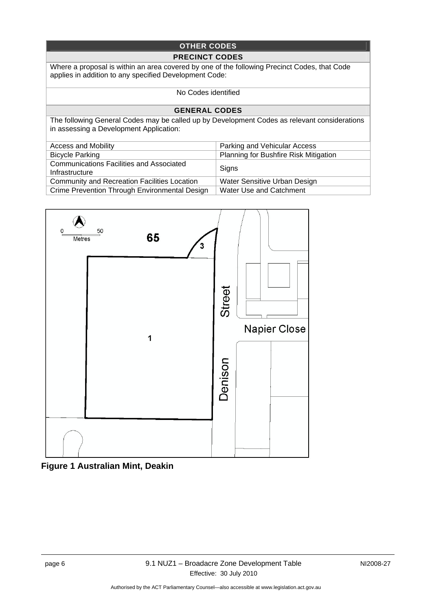### **OTHER CODES**

#### **PRECINCT CODES**

Where a proposal is within an area covered by one of the following Precinct Codes, that Code applies in addition to any specified Development Code:

#### No Codes identified

#### **GENERAL CODES**

The following General Codes may be called up by Development Codes as relevant considerations in assessing a Development Application:

| <b>Access and Mobility</b>                                        | Parking and Vehicular Access                 |
|-------------------------------------------------------------------|----------------------------------------------|
| <b>Bicycle Parking</b>                                            | <b>Planning for Bushfire Risk Mitigation</b> |
| <b>Communications Facilities and Associated</b><br>Infrastructure | Signs                                        |
| <b>Community and Recreation Facilities Location</b>               | Water Sensitive Urban Design                 |
| Crime Prevention Through Environmental Design                     | Water Use and Catchment                      |



**Figure 1 Australian Mint, Deakin**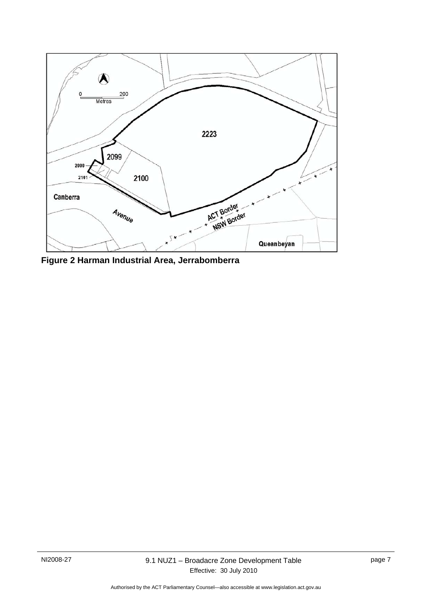

**Figure 2 Harman Industrial Area, Jerrabomberra**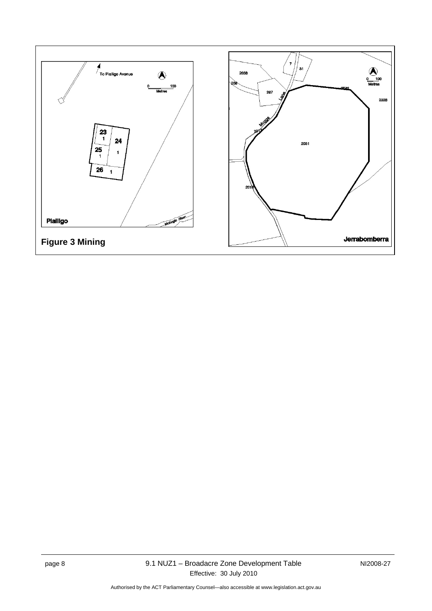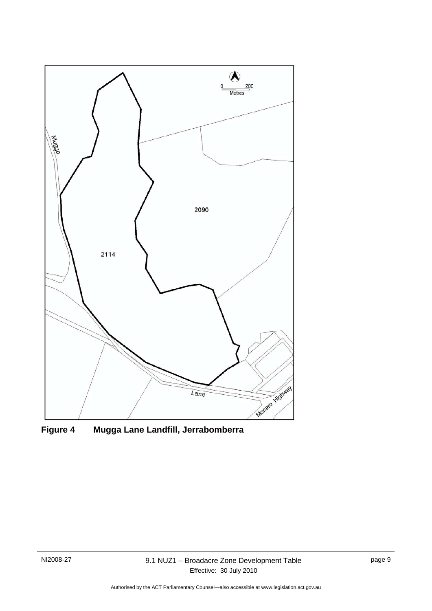

**Figure 4 Mugga Lane Landfill, Jerrabomberra**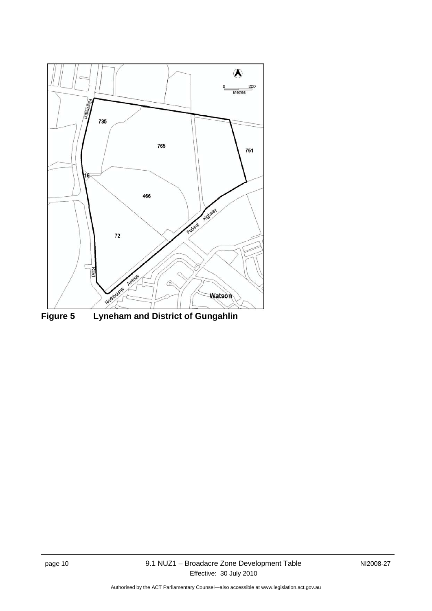